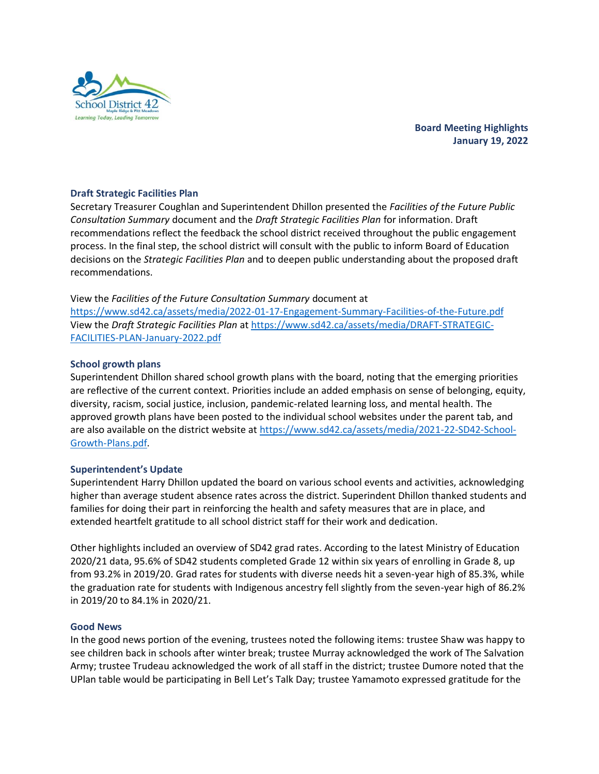

# **Draft Strategic Facilities Plan**

Secretary Treasurer Coughlan and Superintendent Dhillon presented the *Facilities of the Future Public Consultation Summary* document and the *Draft Strategic Facilities Plan* for information. Draft recommendations reflect the feedback the school district received throughout the public engagement process. In the final step, the school district will consult with the public to inform Board of Education decisions on the *Strategic Facilities Plan* and to deepen public understanding about the proposed draft recommendations.

## View the *Facilities of the Future Consultation Summary* document at

<https://www.sd42.ca/assets/media/2022-01-17-Engagement-Summary-Facilities-of-the-Future.pdf> View the *Draft Strategic Facilities Plan* a[t https://www.sd42.ca/assets/media/DRAFT-STRATEGIC-](https://www.sd42.ca/assets/media/DRAFT-STRATEGIC-FACILITIES-PLAN-January-2022.pdf)[FACILITIES-PLAN-January-2022.pdf](https://www.sd42.ca/assets/media/DRAFT-STRATEGIC-FACILITIES-PLAN-January-2022.pdf)

### **School growth plans**

Superintendent Dhillon shared school growth plans with the board, noting that the emerging priorities are reflective of the current context. Priorities include an added emphasis on sense of belonging, equity, diversity, racism, social justice, inclusion, pandemic-related learning loss, and mental health. The approved growth plans have been posted to the individual school websites under the parent tab, and are also available on the district website at [https://www.sd42.ca/assets/media/2021-22-SD42-School-](https://www.sd42.ca/assets/media/2021-22-SD42-School-Growth-Plans.pdf)[Growth-Plans.pdf.](https://www.sd42.ca/assets/media/2021-22-SD42-School-Growth-Plans.pdf)

### **Superintendent's Update**

Superintendent Harry Dhillon updated the board on various school events and activities, acknowledging higher than average student absence rates across the district. Superindent Dhillon thanked students and families for doing their part in reinforcing the health and safety measures that are in place, and extended heartfelt gratitude to all school district staff for their work and dedication.

Other highlights included an overview of SD42 grad rates. According to the latest Ministry of Education 2020/21 data, 95.6% of SD42 students completed Grade 12 within six years of enrolling in Grade 8, up from 93.2% in 2019/20. Grad rates for students with diverse needs hit a seven-year high of 85.3%, while the graduation rate for students with Indigenous ancestry fell slightly from the seven-year high of 86.2% in 2019/20 to 84.1% in 2020/21.

### **Good News**

In the good news portion of the evening, trustees noted the following items: trustee Shaw was happy to see children back in schools after winter break; trustee Murray acknowledged the work of The Salvation Army; trustee Trudeau acknowledged the work of all staff in the district; trustee Dumore noted that the UPlan table would be participating in Bell Let's Talk Day; trustee Yamamoto expressed gratitude for the